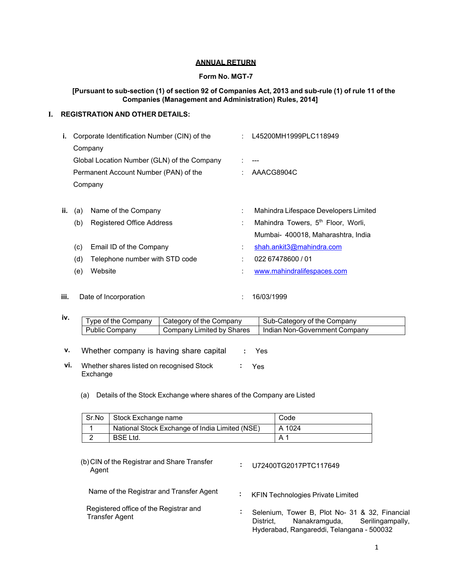## **ANNUAL RETURN**

## **Form No. MGT-7**

## **[Pursuant to sub-section (1) of section 92 of Companies Act, 2013 and sub-rule (1) of rule 11 of the Companies (Management and Administration) Rules, 2014]**

# **I. REGISTRATION AND OTHER DETAILS:**

| i.  |     | Corporate Identification Number (CIN) of the | L45200MH1999PLC118949                          |
|-----|-----|----------------------------------------------|------------------------------------------------|
|     |     | Company                                      |                                                |
|     |     | Global Location Number (GLN) of the Company  | ---                                            |
|     |     | Permanent Account Number (PAN) of the        | AAACG8904C                                     |
|     |     | Company                                      |                                                |
|     |     |                                              |                                                |
| ii. | (a) | Name of the Company                          | Mahindra Lifespace Developers Limited          |
|     | (b) | Registered Office Address                    | Mahindra Towers, 5 <sup>th</sup> Floor, Worli, |
|     |     |                                              | Mumbai- 400018, Maharashtra, India             |
|     | (c) | Email ID of the Company                      | shah.ankit3@mahindra.com                       |
|     | (d) | Telephone number with STD code               | 022 67478600 / 01                              |
|     | (e) | Website                                      | www.mahindralifespaces.com                     |
|     |     |                                              |                                                |
|     |     |                                              |                                                |

**iii.** Date of Incorporation **iii** iii. 16/03/1999

| IV. | Type of the Company   | Category of the Company   | Sub-Category of the Company   |
|-----|-----------------------|---------------------------|-------------------------------|
|     | <b>Public Company</b> | Company Limited by Shares | Indian Non-Government Company |

**v.** Whether company is having share capital **:** Yes

- **vi.** Whether shares listed on recognised Stock Exchange **:** Yes
	- (a) Details of the Stock Exchange where shares of the Company are Listed

| Sr.No | Stock Exchange name                            | Code   |
|-------|------------------------------------------------|--------|
|       | National Stock Exchange of India Limited (NSE) | A 1024 |
|       | <b>BSE Ltd.</b>                                |        |

(b) CIN of the Registrar and Share Transfer Agent **:** U72400TG2017PTC117649

Name of the Registrar and Transfer Agent **:** KFIN Technologies Private Limited

Transfer Agent

- 
- Registered office of the Registrar and **:** Selenium, Tower B, Plot No- 31 & 32, Financial District, Nanakramguda, Serilingampally, Hyderabad, Rangareddi, Telangana - 500032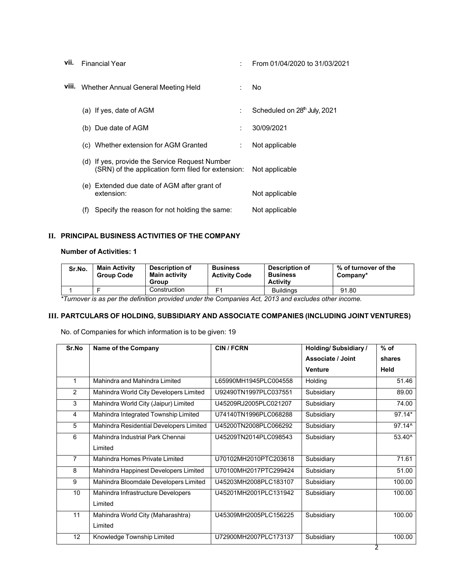| vii.  | <b>Financial Year</b>                                                                                | ÷ | From 01/04/2020 to 31/03/2021            |
|-------|------------------------------------------------------------------------------------------------------|---|------------------------------------------|
| viii. | Whether Annual General Meeting Held                                                                  |   | No.                                      |
|       | (a) If yes, date of AGM                                                                              | ÷ | Scheduled on 28 <sup>th</sup> July, 2021 |
|       | (b) Due date of AGM                                                                                  | ÷ | 30/09/2021                               |
|       | (c) Whether extension for AGM Granted                                                                | ÷ | Not applicable                           |
|       | (d) If yes, provide the Service Request Number<br>(SRN) of the application form filed for extension: |   | Not applicable                           |
|       | (e) Extended due date of AGM after grant of<br>extension:                                            |   | Not applicable                           |
|       | Specify the reason for not holding the same:<br>(f)                                                  |   | Not applicable                           |

# **II. PRINCIPAL BUSINESS ACTIVITIES OF THE COMPANY**

## **Number of Activities: 1**

| Sr.No. | <b>Main Activity</b><br><b>Group Code</b> | Description of<br><b>Main activity</b><br>Group | <b>Business</b><br><b>Activity Code</b> | Description of<br><b>Business</b><br><b>Activity</b> | % of turnover of the<br>Company* |
|--------|-------------------------------------------|-------------------------------------------------|-----------------------------------------|------------------------------------------------------|----------------------------------|
|        |                                           | Construction                                    | Ε1                                      | <b>Buildings</b>                                     | 91.80                            |

*\*Turnover is as per the definition provided under the Companies Act, 2013 and excludes other income.* 

# **III. PARTCULARS OF HOLDING, SUBSIDIARY AND ASSOCIATE COMPANIES (INCLUDING JOINT VENTURES)**

No. of Companies for which information is to be given: 19

| Sr.No           | Name of the Company                     | <b>CIN / FCRN</b>     | <b>Holding/Subsidiary/</b> | $%$ of          |
|-----------------|-----------------------------------------|-----------------------|----------------------------|-----------------|
|                 |                                         |                       | Associate / Joint          | shares          |
|                 |                                         |                       | <b>Venture</b>             | Held            |
| 1               | Mahindra and Mahindra Limited           | L65990MH1945PLC004558 | Holding                    | 51.46           |
| 2               | Mahindra World City Developers Limited  | U92490TN1997PLC037551 | Subsidiary                 | 89.00           |
| 3               | Mahindra World City (Jaipur) Limited    | U45209RJ2005PLC021207 | Subsidiary                 | 74.00           |
| 4               | Mahindra Integrated Township Limited    | U74140TN1996PLC068288 | Subsidiary                 | 97.14*          |
| 5               | Mahindra Residential Developers Limited | U45200TN2008PLC066292 | Subsidiary                 | 97.14^          |
| 6               | Mahindra Industrial Park Chennai        | U45209TN2014PLC098543 | Subsidiary                 | $53.40^{\circ}$ |
|                 | Limited                                 |                       |                            |                 |
| $\overline{7}$  | Mahindra Homes Private Limited          | U70102MH2010PTC203618 | Subsidiary                 | 71.61           |
| 8               | Mahindra Happinest Developers Limited   | U70100MH2017PTC299424 | Subsidiary                 | 51.00           |
| 9               | Mahindra Bloomdale Developers Limited   | U45203MH2008PLC183107 | Subsidiary                 | 100.00          |
| 10 <sup>1</sup> | Mahindra Infrastructure Developers      | U45201MH2001PLC131942 | Subsidiary                 | 100.00          |
|                 | Limited                                 |                       |                            |                 |
| 11              | Mahindra World City (Maharashtra)       | U45309MH2005PLC156225 | Subsidiary                 | 100.00          |
|                 | Limited                                 |                       |                            |                 |
| 12              | Knowledge Township Limited              | U72900MH2007PLC173137 | Subsidiary                 | 100.00          |
|                 |                                         |                       |                            | 2               |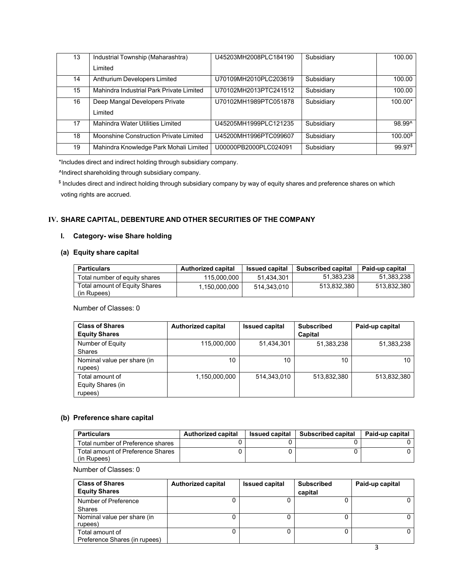| 13 | Industrial Township (Maharashtra)        | U45203MH2008PLC184190 | Subsidiary | 100.00             |
|----|------------------------------------------|-----------------------|------------|--------------------|
|    | I imited                                 |                       |            |                    |
| 14 | Anthurium Developers Limited             | U70109MH2010PLC203619 | Subsidiary | 100.00             |
| 15 | Mahindra Industrial Park Private Limited | U70102MH2013PTC241512 | Subsidiary | 100.00             |
| 16 | Deep Mangal Developers Private           | U70102MH1989PTC051878 | Subsidiary | $100.00*$          |
|    | I imited                                 |                       |            |                    |
| 17 | Mahindra Water Utilities Limited         | U45205MH1999PLC121235 | Subsidiary | 98.99^             |
| 18 | Moonshine Construction Private Limited   | U45200MH1996PTC099607 | Subsidiary | 100.00 <sup></sup> |
| 19 | Mahindra Knowledge Park Mohali Limited   | U00000PB2000PLC024091 | Subsidiary | 99.97\$            |

\*Includes direct and indirect holding through subsidiary company.

^Indirect shareholding through subsidiary company.

\$ Includes direct and indirect holding through subsidiary company by way of equity shares and preference shares on which voting rights are accrued.

# **IV. SHARE CAPITAL, DEBENTURE AND OTHER SECURITIES OF THE COMPANY**

# **I. Category- wise Share holding**

# **(a) Equity share capital**

| <b>Particulars</b>                           | <b>Authorized capital</b> | <b>Issued capital</b> | <b>Subscribed capital</b> | Paid-up capital |
|----------------------------------------------|---------------------------|-----------------------|---------------------------|-----------------|
| Total number of equity shares                | 115,000,000               | 51.434.301            | 51.383.238                | 51.383.238      |
| Total amount of Equity Shares<br>(in Rupees) | 1.150.000.000             | 514.343.010           | 513,832,380               | 513.832.380     |

Number of Classes: 0

| <b>Class of Shares</b><br><b>Equity Shares</b>  | <b>Authorized capital</b> | <b>Issued capital</b> | <b>Subscribed</b><br>Capital | Paid-up capital |
|-------------------------------------------------|---------------------------|-----------------------|------------------------------|-----------------|
| Number of Equity<br><b>Shares</b>               | 115,000,000               | 51,434,301            | 51,383,238                   | 51,383,238      |
| Nominal value per share (in<br>rupees)          | 10                        | 10                    | 10                           | 10              |
| Total amount of<br>Equity Shares (in<br>rupees) | 1,150,000,000             | 514.343.010           | 513,832,380                  | 513,832,380     |

## **(b) Preference share capital**

| <b>Particulars</b>                               | <b>Authorized capital</b> | <b>Issued capital</b> | Subscribed capital | Paid-up capital |
|--------------------------------------------------|---------------------------|-----------------------|--------------------|-----------------|
| Total number of Preference shares                |                           |                       |                    |                 |
| Total amount of Preference Shares<br>(in Rupees) |                           |                       |                    |                 |

Number of Classes: 0

| <b>Class of Shares</b><br><b>Equity Shares</b> | <b>Authorized capital</b> | <b>Issued capital</b> | <b>Subscribed</b><br>capital | Paid-up capital |
|------------------------------------------------|---------------------------|-----------------------|------------------------------|-----------------|
| Number of Preference                           |                           |                       |                              | 0               |
| Shares                                         |                           |                       |                              |                 |
| Nominal value per share (in                    |                           |                       |                              | 0               |
| rupees)                                        |                           |                       |                              |                 |
| Total amount of                                |                           |                       |                              |                 |
| Preference Shares (in rupees)                  |                           |                       |                              |                 |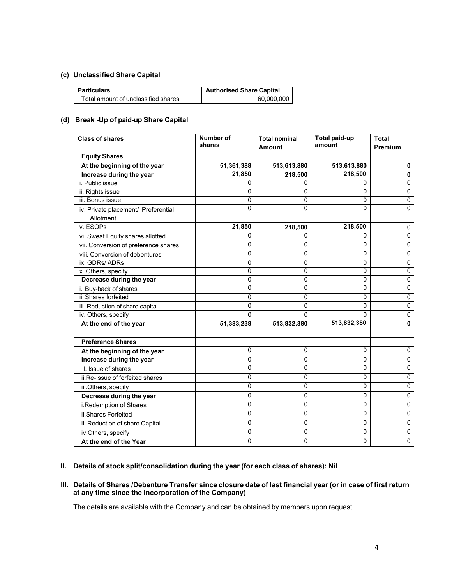# **(c) Unclassified Share Capital**

| <b>Particulars</b>                  | <b>Authorised Share Capital</b> |
|-------------------------------------|---------------------------------|
| Total amount of unclassified shares | 60.000.000                      |

## **(d) Break -Up of paid-up Share Capital**

| <b>Class of shares</b>                      | Number of<br>shares  | <b>Total nominal</b> | <b>Total paid-up</b><br>amount | <b>Total</b><br>Premium |
|---------------------------------------------|----------------------|----------------------|--------------------------------|-------------------------|
| <b>Equity Shares</b>                        |                      | <b>Amount</b>        |                                |                         |
|                                             |                      |                      |                                |                         |
| At the beginning of the year                | 51,361,388<br>21,850 | 513,613,880          | 513,613,880<br>218,500         | 0                       |
| Increase during the year<br>i. Public issue | 0                    | 218,500              |                                | $\mathbf 0$<br>0        |
| ii. Rights issue                            | 0                    | 0<br>0               | 0<br>0                         | 0                       |
| iii. Bonus issue                            | 0                    | $\Omega$             | 0                              | 0                       |
| iv. Private placement/ Preferential         | 0                    | $\Omega$             | 0                              | $\mathbf 0$             |
| Allotment                                   |                      |                      |                                |                         |
| v. ESOPs                                    | 21,850               | 218,500              | 218,500                        | 0                       |
| vi. Sweat Equity shares allotted            | 0                    | $\mathbf{0}$         | 0                              | $\mathbf 0$             |
| vii. Conversion of preference shares        | 0                    | $\mathbf{0}$         | 0                              | 0                       |
| viii. Conversion of debentures              | 0                    | 0                    | 0                              | 0                       |
| ix. GDRs/ ADRs                              | 0                    | 0                    | 0                              | $\pmb{0}$               |
| x. Others, specify                          | 0                    | 0                    | 0                              | $\pmb{0}$               |
| Decrease during the year                    | 0                    | 0                    | 0                              | 0                       |
| i. Buy-back of shares                       | 0                    | 0                    | 0                              | 0                       |
| ii. Shares forfeited                        | 0                    | 0                    | 0                              | 0                       |
| iii. Reduction of share capital             | 0                    | $\mathbf{0}$         | $\Omega$                       | 0                       |
| iv. Others, specify                         | 0                    | $\Omega$             | $\Omega$                       | 0                       |
| At the end of the year                      | 51,383,238           | 513,832,380          | 513,832,380                    | 0                       |
|                                             |                      |                      |                                |                         |
| <b>Preference Shares</b>                    |                      |                      |                                |                         |
| At the beginning of the year                | 0                    | $\pmb{0}$            | 0                              | $\mathbf 0$             |
| Increase during the year                    | 0                    | 0                    | 0                              | 0                       |
| I. Issue of shares                          | 0                    | 0                    | 0                              | 0                       |
| ii.Re-Issue of forfeited shares             | 0                    | 0                    | 0                              | 0                       |
| iii.Others, specify                         | 0                    | 0                    | 0                              | 0                       |
| Decrease during the year                    | 0                    | 0                    | 0                              | 0                       |
| i.Redemption of Shares                      | 0                    | $\mathbf 0$          | 0                              | 0                       |
| ii.Shares Forfeited                         | 0                    | 0                    | 0                              | 0                       |
| iii.Reduction of share Capital              | 0                    | 0                    | 0                              | 0                       |
| iv.Others, specify                          | 0                    | 0                    | 0                              | $\pmb{0}$               |
| At the end of the Year                      | 0                    | 0                    | 0                              | $\mathbf 0$             |

## **II. Details of stock split/consolidation during the year (for each class of shares): Nil**

#### **III. Details of Shares /Debenture Transfer since closure date of last financial year (or in case of first return at any time since the incorporation of the Company)**

The details are available with the Company and can be obtained by members upon request.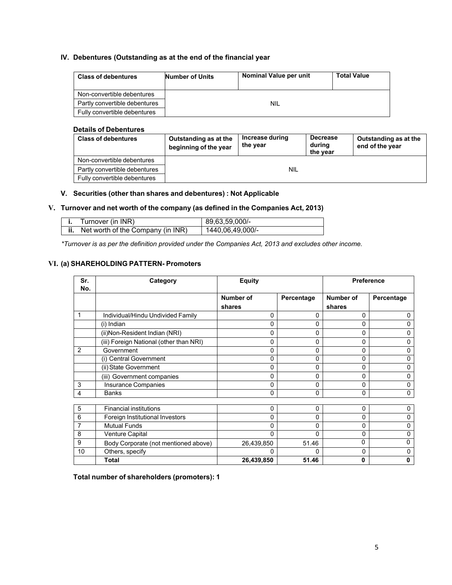## **IV. Debentures (Outstanding as at the end of the financial year**

| <b>Class of debentures</b>    | Number of Units | Nominal Value per unit | <b>Total Value</b> |
|-------------------------------|-----------------|------------------------|--------------------|
| Non-convertible debentures    |                 |                        |                    |
| Partly convertible debentures |                 | NIL                    |                    |
| Fully convertible debentures  |                 |                        |                    |

### **Details of Debentures**

| <b>Class of debentures</b>    | Outstanding as at the<br>beginning of the year | Increase during<br>the year | <b>Decrease</b><br>during<br>the year | Outstanding as at the<br>end of the year |
|-------------------------------|------------------------------------------------|-----------------------------|---------------------------------------|------------------------------------------|
| Non-convertible debentures    |                                                |                             |                                       |                                          |
| Partly convertible debentures |                                                | <b>NIL</b>                  |                                       |                                          |
| Fully convertible debentures  |                                                |                             |                                       |                                          |

## **V. Securities (other than shares and debentures) : Not Applicable**

# **V. Turnover and net worth of the company (as defined in the Companies Act, 2013)**

| Turnover (in INR)                 | 89,63,59,000/-   |
|-----------------------------------|------------------|
| Net worth of the Company (in INR) | 1440,06,49,000/- |

*\*Turnover is as per the definition provided under the Companies Act, 2013 and excludes other income.* 

# **VI. (a) SHAREHOLDING PATTERN- Promoters**

| Sr.<br>No. | Category                                | <b>Equity</b>              |            |                     | <b>Preference</b> |
|------------|-----------------------------------------|----------------------------|------------|---------------------|-------------------|
|            |                                         | <b>Number of</b><br>shares | Percentage | Number of<br>shares | Percentage        |
|            | Individual/Hindu Undivided Family       | 0                          | 0          | 0                   | 0                 |
|            | (i) Indian                              | 0                          | 0          | 0                   | 0                 |
|            | (ii)Non-Resident Indian (NRI)           | 0                          | 0          | $\Omega$            | 0                 |
|            | (iii) Foreign National (other than NRI) | 0                          | 0          | 0                   | 0                 |
| 2          | Government                              | 0                          | 0          | $\mathbf{0}$        | 0                 |
|            | (i) Central Government                  | 0                          | 0          | 0                   | 0                 |
|            | (ii) State Government                   | 0                          | 0          | 0                   | 0                 |
|            | (iii) Government companies              | 0                          | 0          | $\Omega$            | 0                 |
| 3          | Insurance Companies                     | 0                          | 0          | 0                   | 0                 |
| 4          | <b>Banks</b>                            | 0                          | 0          | 0                   | 0                 |
|            |                                         |                            |            |                     |                   |
| 5          | <b>Financial institutions</b>           | 0                          | 0          | 0                   | 0                 |
| 6          | Foreign Institutional Investors         | 0                          | 0          | $\Omega$            | 0                 |
| 7          | <b>Mutual Funds</b>                     | 0                          | 0          | 0                   | 0                 |
| 8          | <b>Venture Capital</b>                  | $\Omega$                   | 0          | 0                   | 0                 |
| 9          | Body Corporate (not mentioned above)    | 26,439,850                 | 51.46      | 0                   | 0                 |
| 10         | Others, specify                         | 0                          | 0          | 0                   | 0                 |
|            | <b>Total</b>                            | 26,439,850                 | 51.46      | 0                   | 0                 |

**Total number of shareholders (promoters): 1**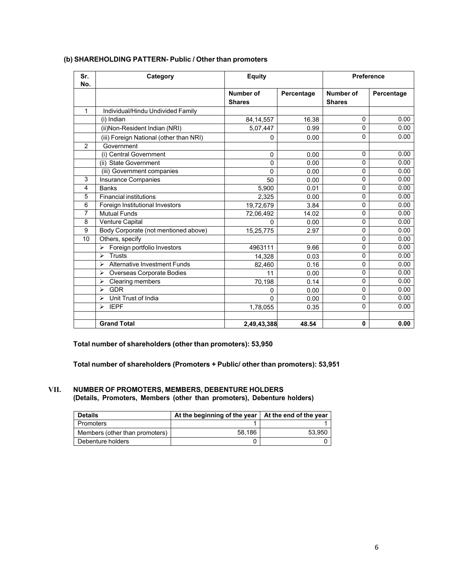| Sr.<br>No. | Category                                             | <b>Equity</b>              |            | <b>Preference</b>                 |            |
|------------|------------------------------------------------------|----------------------------|------------|-----------------------------------|------------|
|            |                                                      | Number of<br><b>Shares</b> | Percentage | <b>Number of</b><br><b>Shares</b> | Percentage |
| 1          | Individual/Hindu Undivided Family                    |                            |            |                                   |            |
|            | (i) Indian                                           | 84, 14, 557                | 16.38      | 0                                 | 0.00       |
|            | (ii) Non-Resident Indian (NRI)                       | 5,07,447                   | 0.99       | 0                                 | 0.00       |
|            | (iii) Foreign National (other than NRI)              | 0                          | 0.00       | 0                                 | 0.00       |
| 2          | Government                                           |                            |            |                                   |            |
|            | (i) Central Government                               | $\Omega$                   | 0.00       | 0                                 | 0.00       |
|            | (ii) State Government                                | $\mathbf{0}$               | 0.00       | 0                                 | 0.00       |
|            | (iii) Government companies                           | $\Omega$                   | 0.00       | 0                                 | 0.00       |
| 3          | Insurance Companies                                  | 50                         | 0.00       | 0                                 | 0.00       |
| 4          | <b>Banks</b>                                         | 5,900                      | 0.01       | 0                                 | 0.00       |
| 5          | <b>Financial institutions</b>                        | 2,325                      | 0.00       | 0                                 | 0.00       |
| 6          | Foreign Institutional Investors                      | 19,72,679                  | 3.84       | 0                                 | 0.00       |
| 7          | <b>Mutual Funds</b>                                  | 72,06,492                  | 14.02      | 0                                 | 0.00       |
| 8          | Venture Capital                                      | 0                          | 0.00       | 0                                 | 0.00       |
| 9          | Body Corporate (not mentioned above)                 | 15,25,775                  | 2.97       | 0                                 | 0.00       |
| 10         | Others, specify                                      |                            |            | 0                                 | 0.00       |
|            | Foreign portfolio Investors<br>$\blacktriangleright$ | 4963111                    | 9.66       | 0                                 | 0.00       |
|            | <b>Trusts</b><br>⋗                                   | 14,328                     | 0.03       | 0                                 | 0.00       |
|            | Alternative Investment Funds<br>⋗                    | 82,460                     | 0.16       | 0                                 | 0.00       |
|            | Overseas Corporate Bodies<br>⋗                       | 11                         | 0.00       | $\mathbf{0}$                      | 0.00       |
|            | Clearing members<br>⋗                                | 70,198                     | 0.14       | 0                                 | 0.00       |
|            | <b>GDR</b><br>➤                                      | 0                          | 0.00       | 0                                 | 0.00       |
|            | Unit Trust of India<br>⋗                             | 0                          | 0.00       | 0                                 | 0.00       |
|            | <b>IEPF</b><br>⋗                                     | 1,78,055                   | 0.35       | 0                                 | 0.00       |
|            | <b>Grand Total</b>                                   | 2,49,43,388                | 48.54      | 0                                 | 0.00       |

# **(b) SHAREHOLDING PATTERN- Public / Other than promoters**

**Total number of shareholders (other than promoters): 53,950** 

**Total number of shareholders (Promoters + Public/ other than promoters): 53,951** 

## **VII. NUMBER OF PROMOTERS, MEMBERS, DEBENTURE HOLDERS (Details, Promoters, Members (other than promoters), Debenture holders)**

| <b>Details</b>                 | At the beginning of the year   At the end of the year |        |
|--------------------------------|-------------------------------------------------------|--------|
| Promoters                      |                                                       |        |
| Members (other than promoters) | 58.186                                                | 53.950 |
| Debenture holders              |                                                       |        |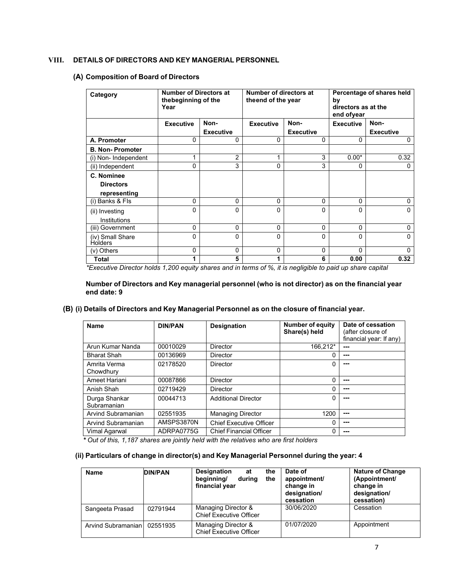## **VIII. DETAILS OF DIRECTORS AND KEY MANGERIAL PERSONNEL**

# **(A) Composition of Board of Directors**

| Category                           | <b>Number of Directors at</b><br>the beginning of the<br>Year |                  |                  | Number of directors at<br>theend of the year |                  | Percentage of shares held<br>by<br>directors as at the<br>end ofyear |  |
|------------------------------------|---------------------------------------------------------------|------------------|------------------|----------------------------------------------|------------------|----------------------------------------------------------------------|--|
|                                    | <b>Executive</b>                                              | Non-             | <b>Executive</b> | Non-                                         | <b>Executive</b> | Non-                                                                 |  |
|                                    |                                                               | <b>Executive</b> |                  | <b>Executive</b>                             |                  | <b>Executive</b>                                                     |  |
| A. Promoter                        | 0                                                             | $\Omega$         | $\Omega$         | 0                                            | $\Omega$         | 0                                                                    |  |
| <b>B. Non-Promoter</b>             |                                                               |                  |                  |                                              |                  |                                                                      |  |
| (i) Non- Independent               | 1                                                             | $\overline{2}$   | 4                | 3                                            | $0.00*$          | 0.32                                                                 |  |
| (ii) Independent                   | 0                                                             | 3                | $\mathbf{0}$     | 3                                            | 0                | 0                                                                    |  |
| C. Nominee                         |                                                               |                  |                  |                                              |                  |                                                                      |  |
| <b>Directors</b>                   |                                                               |                  |                  |                                              |                  |                                                                      |  |
| representing                       |                                                               |                  |                  |                                              |                  |                                                                      |  |
| (i) Banks & Fls                    | $\Omega$                                                      | $\Omega$         | $\Omega$         | 0                                            | $\mathbf{0}$     | 0                                                                    |  |
| (ii) Investing                     | 0                                                             | $\Omega$         | $\Omega$         | 0                                            | $\Omega$         | $\Omega$                                                             |  |
| Institutions                       |                                                               |                  |                  |                                              |                  |                                                                      |  |
| (iii) Government                   | 0                                                             | $\Omega$         | $\mathbf{0}$     | 0                                            | $\Omega$         | 0                                                                    |  |
| (iv) Small Share<br><b>Holders</b> | 0                                                             | $\Omega$         | $\Omega$         | 0                                            | 0                | $\mathbf{0}$                                                         |  |
| (v) Others                         | 0                                                             | $\Omega$         | $\mathbf{0}$     | 0                                            | $\mathbf{0}$     | $\mathbf{0}$                                                         |  |
| Total                              | 1                                                             | 5                |                  | 6                                            | 0.00             | 0.32                                                                 |  |

*\*Executive Director holds 1,200 equity shares and in terms of %, it is negligible to paid up share capital* 

**Number of Directors and Key managerial personnel (who is not director) as on the financial year end date: 9** 

## **(B) (i) Details of Directors and Key Managerial Personnel as on the closure of financial year.**

| <b>Name</b>                  | <b>DIN/PAN</b> | <b>Designation</b>             | <b>Number of equity</b><br>Share(s) held | Date of cessation<br>(after closure of<br>financial year: If any) |
|------------------------------|----------------|--------------------------------|------------------------------------------|-------------------------------------------------------------------|
| Arun Kumar Nanda             | 00010029       | <b>Director</b>                | 166.212*                                 | ---                                                               |
| <b>Bharat Shah</b>           | 00136969       | <b>Director</b>                | O                                        | ---                                                               |
| Amrita Verma<br>Chowdhury    | 02178520       | Director                       |                                          | ---                                                               |
| Ameet Hariani                | 00087866       | <b>Director</b>                | 0                                        | ---                                                               |
| Anish Shah                   | 02719429       | <b>Director</b>                | 0                                        | ---                                                               |
| Durga Shankar<br>Subramanian | 00044713       | <b>Additional Director</b>     | 0                                        | ---                                                               |
| Arvind Subramanian           | 02551935       | <b>Managing Director</b>       | 1200                                     | ---                                                               |
| Arvind Subramanian           | AMSPS3870N     | <b>Chief Executive Officer</b> | $\Omega$                                 | ---                                                               |
| Vimal Agarwal<br>.           | ADRPA0775G     | <b>Chief Financial Officer</b> | 0<br>.                                   | ---                                                               |

*\* Out of this, 1,187 shares are jointly held with the relatives who are first holders* 

## **(ii) Particulars of change in director(s) and Key Managerial Personnel during the year: 4**

| <b>Name</b>        | <b>DIN/PAN</b> | <b>Designation</b><br>the<br>at<br>beginning/<br>during<br>the<br>financial year | Date of<br>appointment/<br>change in<br>designation/<br>cessation | <b>Nature of Change</b><br>(Appointment/<br>change in<br>designation/<br>cessation) |
|--------------------|----------------|----------------------------------------------------------------------------------|-------------------------------------------------------------------|-------------------------------------------------------------------------------------|
| Sangeeta Prasad    | 02791944       | Managing Director &<br><b>Chief Executive Officer</b>                            | 30/06/2020                                                        | Cessation                                                                           |
| Arvind Subramanian | 02551935       | Managing Director &<br><b>Chief Executive Officer</b>                            | 01/07/2020                                                        | Appointment                                                                         |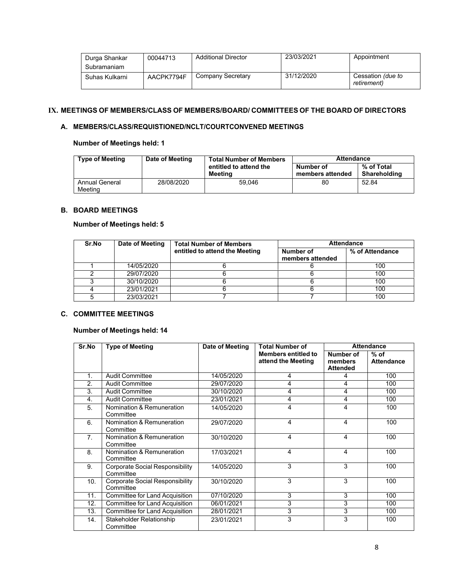| Durga Shankar<br>Subramaniam | 00044713   | <b>Additional Director</b> | 23/03/2021 | Appointment                             |
|------------------------------|------------|----------------------------|------------|-----------------------------------------|
| Suhas Kulkarni               | AACPK7794F | Company Secretary          | 31/12/2020 | Cessation <i>(due to</i><br>retirement) |

# **IX. MEETINGS OF MEMBERS/CLASS OF MEMBERS/BOARD/ COMMITTEES OF THE BOARD OF DIRECTORS**

# **A. MEMBERS/CLASS/REQUISTIONED/NCLT/COURTCONVENED MEETINGS**

# **Number of Meetings held: 1**

| <b>Type of Meeting</b>    | Date of Meeting | <b>Total Number of Members</b>    | <b>Attendance</b>             |                            |  |
|---------------------------|-----------------|-----------------------------------|-------------------------------|----------------------------|--|
|                           |                 | entitled to attend the<br>Meetina | Number of<br>members attended | % of Total<br>Shareholding |  |
| Annual General<br>Meetina | 28/08/2020      | 59.046                            | 80                            | 52.84                      |  |

# **B. BOARD MEETINGS**

# **Number of Meetings held: 5**

| Sr.No | Date of Meeting | <b>Total Number of Members</b> | <b>Attendance</b>             |                 |  |
|-------|-----------------|--------------------------------|-------------------------------|-----------------|--|
|       |                 | entitled to attend the Meeting | Number of<br>members attended | % of Attendance |  |
|       | 14/05/2020      |                                |                               | 100             |  |
|       | 29/07/2020      |                                |                               | 100             |  |
|       | 30/10/2020      |                                |                               | 100             |  |
|       | 23/01/2021      |                                |                               | 100             |  |
|       | 23/03/2021      |                                |                               | 100             |  |

# **C. COMMITTEE MEETINGS**

# **Number of Meetings held: 14**

| Sr.No            | <b>Type of Meeting</b>                              | Date of Meeting | <b>Total Number of</b>                           | <b>Attendance</b>                       |                             |
|------------------|-----------------------------------------------------|-----------------|--------------------------------------------------|-----------------------------------------|-----------------------------|
|                  |                                                     |                 | <b>Members entitled to</b><br>attend the Meeting | Number of<br>members<br><b>Attended</b> | $%$ of<br><b>Attendance</b> |
| 1.               | <b>Audit Committee</b>                              | 14/05/2020      | 4                                                | 4                                       | 100                         |
| 2.               | <b>Audit Committee</b>                              | 29/07/2020      | 4                                                | 4                                       | 100                         |
| $\overline{3}$ . | <b>Audit Committee</b>                              | 30/10/2020      | 4                                                | 4                                       | 100                         |
| 4.               | <b>Audit Committee</b>                              | 23/01/2021      | 4                                                | 4                                       | 100                         |
| 5.               | Nomination & Remuneration<br>Committee              | 14/05/2020      | 4                                                | 4                                       | 100                         |
| 6.               | Nomination & Remuneration<br>Committee              | 29/07/2020      | 4                                                | 4                                       | 100                         |
| 7 <sub>1</sub>   | Nomination & Remuneration<br>Committee              | 30/10/2020      | 4                                                | 4                                       | 100                         |
| 8.               | Nomination & Remuneration<br>Committee              | 17/03/2021      | 4                                                | 4                                       | 100                         |
| 9.               | <b>Corporate Social Responsibility</b><br>Committee | 14/05/2020      | 3                                                | 3                                       | 100                         |
| 10.              | <b>Corporate Social Responsibility</b><br>Committee | 30/10/2020      | 3                                                | 3                                       | 100                         |
| 11.              | <b>Committee for Land Acquisition</b>               | 07/10/2020      | 3                                                | 3                                       | 100                         |
| 12.              | Committee for Land Acquisition                      | 06/01/2021      | 3                                                | 3                                       | 100                         |
| 13.              | <b>Committee for Land Acquisition</b>               | 28/01/2021      | 3                                                | 3                                       | 100                         |
| 14.              | Stakeholder Relationship<br>Committee               | 23/01/2021      | 3                                                | 3                                       | 100                         |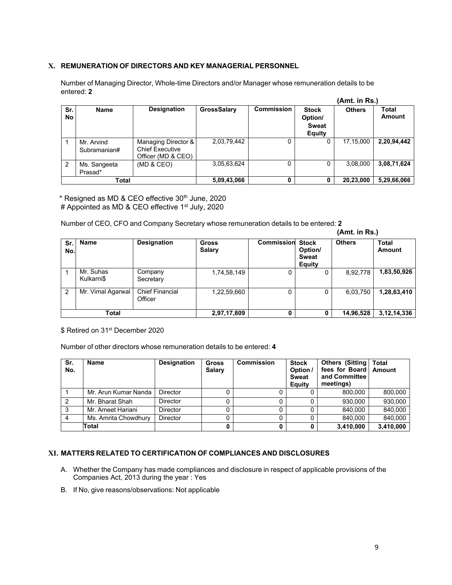# **X. REMUNERATION OF DIRECTORS AND KEY MANAGERIAL PERSONNEL**

Number of Managing Director, Whole-time Directors and/or Manager whose remuneration details to be entered: **2** 

|                |                            |                                                                     |             |                   | (Amt. in Rs.)                                            |               |                        |
|----------------|----------------------------|---------------------------------------------------------------------|-------------|-------------------|----------------------------------------------------------|---------------|------------------------|
| Sr.<br>No      | <b>Name</b>                | <b>Designation</b>                                                  | GrossSalary | <b>Commission</b> | <b>Stock</b><br>Option/<br><b>Sweat</b><br><b>Equity</b> | <b>Others</b> | Total<br><b>Amount</b> |
|                | Mr. Arvind<br>Subramanian# | Managing Director &<br><b>Chief Executive</b><br>Officer (MD & CEO) | 2,03,79,442 | 0                 |                                                          | 17,15,000     | 2,20,94,442            |
| $\overline{2}$ | Ms. Sangeeta<br>Prasad*    | (MD & CEO)                                                          | 3,05,63,624 | 0                 |                                                          | 3,08,000      | 3,08,71,624            |
| Total          |                            |                                                                     | 5,09,43,066 | 0                 |                                                          | 20,23,000     | 5,29,66,066            |

\* Resigned as MD & CEO effective 30th June, 2020 # Appointed as MD & CEO effective 1<sup>st</sup> July, 2020

Number of CEO, CFO and Company Secretary whose remuneration details to be entered: **2 (Amt. in Rs.)** 

| Sr. I<br>No.   | <b>Name</b>             | <b>Designation</b>                | <b>Gross</b><br><b>Salary</b> | <b>Commission</b> | <b>Stock</b><br>Option/<br><b>Sweat</b><br><b>Equity</b> | <b>Others</b> | Total<br>Amount |
|----------------|-------------------------|-----------------------------------|-------------------------------|-------------------|----------------------------------------------------------|---------------|-----------------|
|                | Mr. Suhas<br>Kulkarni\$ | Company<br>Secretary              | 1,74,58,149                   | 0                 | 0                                                        | 8,92,778      | 1,83,50,926     |
| $\overline{2}$ | Mr. Vimal Agarwal       | <b>Chief Financial</b><br>Officer | 1,22,59,660                   | 0                 | 0                                                        | 6,03,750      | 1,28,63,410     |
| <b>Total</b>   |                         |                                   | 2,97,17,809                   | 0                 |                                                          | 14,96,528     | 3, 12, 14, 336  |

\$ Retired on 31<sup>st</sup> December 2020

Number of other directors whose remuneration details to be entered: **4** 

| Sr.<br>No. | Name                 | <b>Designation</b> | <b>Gross</b><br><b>Salary</b> | <b>Commission</b> | <b>Stock</b><br>Option /<br><b>Sweat</b><br>Equity | <b>Others (Sitting</b><br>fees for Board<br>and Committee<br>meetings) | Total<br>Amount |
|------------|----------------------|--------------------|-------------------------------|-------------------|----------------------------------------------------|------------------------------------------------------------------------|-----------------|
|            | Mr. Arun Kumar Nanda | Director           |                               |                   |                                                    | 800.000                                                                | 800,000         |
| 2          | Mr. Bharat Shah      | <b>Director</b>    |                               |                   |                                                    | 930.000                                                                | 930,000         |
|            | Mr. Ameet Hariani    | <b>Director</b>    |                               |                   |                                                    | 840.000                                                                | 840,000         |
|            | Ms. Amrita Chowdhury | Director           |                               |                   |                                                    | 840.000                                                                | 840,000         |
|            | Total                |                    |                               |                   |                                                    | 3,410,000                                                              | 3,410,000       |

## **XI. MATTERS RELATED TO CERTIFICATION OF COMPLIANCES AND DISCLOSURES**

- A. Whether the Company has made compliances and disclosure in respect of applicable provisions of the Companies Act, 2013 during the year : Yes
- B. If No, give reasons/observations: Not applicable